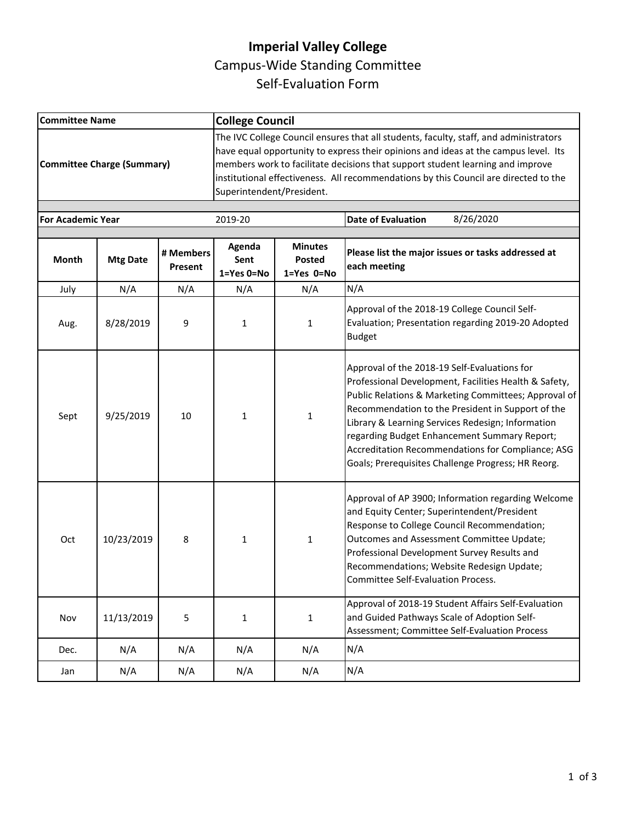## **Imperial Valley College**  Campus-Wide Standing Committee Self-Evaluation Form

| <b>Committee Name</b><br><b>Committee Charge (Summary)</b> |                 |                      | <b>College Council</b><br>The IVC College Council ensures that all students, faculty, staff, and administrators<br>have equal opportunity to express their opinions and ideas at the campus level. Its<br>members work to facilitate decisions that support student learning and improve<br>institutional effectiveness. All recommendations by this Council are directed to the<br>Superintendent/President. |                                               |                                                                                                                                                                                                                                                                                                                                                                                                                                    |  |                                                                               |
|------------------------------------------------------------|-----------------|----------------------|---------------------------------------------------------------------------------------------------------------------------------------------------------------------------------------------------------------------------------------------------------------------------------------------------------------------------------------------------------------------------------------------------------------|-----------------------------------------------|------------------------------------------------------------------------------------------------------------------------------------------------------------------------------------------------------------------------------------------------------------------------------------------------------------------------------------------------------------------------------------------------------------------------------------|--|-------------------------------------------------------------------------------|
|                                                            |                 |                      |                                                                                                                                                                                                                                                                                                                                                                                                               |                                               |                                                                                                                                                                                                                                                                                                                                                                                                                                    |  | <b>Date of Evaluation</b><br>8/26/2020<br><b>For Academic Year</b><br>2019-20 |
| Month                                                      | <b>Mtg Date</b> | # Members<br>Present | Agenda<br>Sent<br>1=Yes 0=No                                                                                                                                                                                                                                                                                                                                                                                  | <b>Minutes</b><br><b>Posted</b><br>1=Yes 0=No | Please list the major issues or tasks addressed at<br>each meeting                                                                                                                                                                                                                                                                                                                                                                 |  |                                                                               |
| July                                                       | N/A             | N/A                  | N/A                                                                                                                                                                                                                                                                                                                                                                                                           | N/A                                           | N/A                                                                                                                                                                                                                                                                                                                                                                                                                                |  |                                                                               |
| Aug.                                                       | 8/28/2019       | 9                    | 1                                                                                                                                                                                                                                                                                                                                                                                                             | $\mathbf{1}$                                  | Approval of the 2018-19 College Council Self-<br>Evaluation; Presentation regarding 2019-20 Adopted<br><b>Budget</b>                                                                                                                                                                                                                                                                                                               |  |                                                                               |
| Sept                                                       | 9/25/2019       | 10                   | 1                                                                                                                                                                                                                                                                                                                                                                                                             | 1                                             | Approval of the 2018-19 Self-Evaluations for<br>Professional Development, Facilities Health & Safety,<br>Public Relations & Marketing Committees; Approval of<br>Recommendation to the President in Support of the<br>Library & Learning Services Redesign; Information<br>regarding Budget Enhancement Summary Report;<br>Accreditation Recommendations for Compliance; ASG<br>Goals; Prerequisites Challenge Progress; HR Reorg. |  |                                                                               |
| Oct                                                        | 10/23/2019      | 8                    | 1                                                                                                                                                                                                                                                                                                                                                                                                             | $\mathbf{1}$                                  | Approval of AP 3900; Information regarding Welcome<br>and Equity Center; Superintendent/President<br>Response to College Council Recommendation;<br>Outcomes and Assessment Committee Update;<br>Professional Development Survey Results and<br>Recommendations; Website Redesign Update;<br>Committee Self-Evaluation Process.                                                                                                    |  |                                                                               |
| Nov                                                        | 11/13/2019      | 5                    | $\mathbf{1}$                                                                                                                                                                                                                                                                                                                                                                                                  | $\mathbf{1}$                                  | Approval of 2018-19 Student Affairs Self-Evaluation<br>and Guided Pathways Scale of Adoption Self-<br>Assessment; Committee Self-Evaluation Process                                                                                                                                                                                                                                                                                |  |                                                                               |
| Dec.                                                       | N/A             | N/A                  | N/A                                                                                                                                                                                                                                                                                                                                                                                                           | N/A                                           | N/A                                                                                                                                                                                                                                                                                                                                                                                                                                |  |                                                                               |
| Jan                                                        | N/A             | N/A                  | N/A                                                                                                                                                                                                                                                                                                                                                                                                           | N/A                                           | N/A                                                                                                                                                                                                                                                                                                                                                                                                                                |  |                                                                               |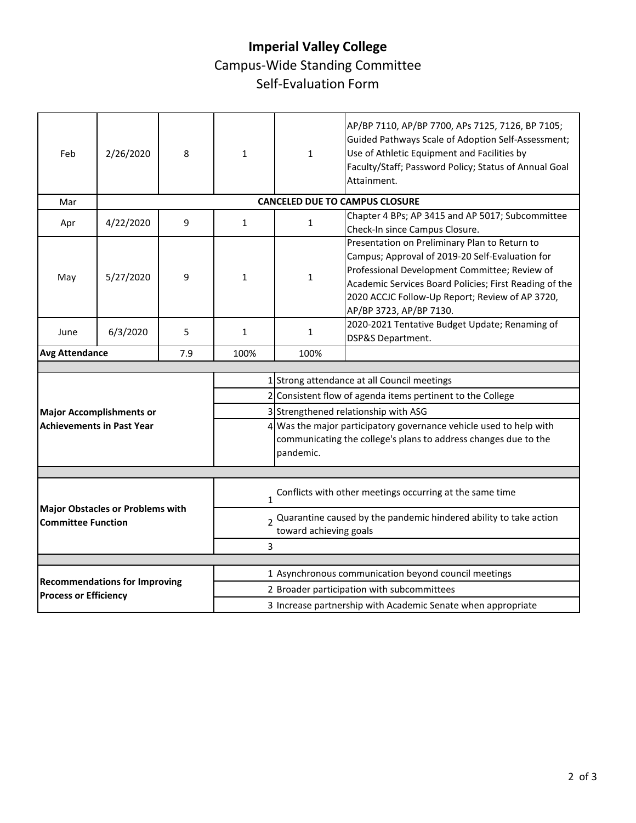## **Imperial Valley College**  Campus-Wide Standing Committee Self-Evaluation Form

| Feb                                                                  | 2/26/2020                               | 8   | 1                                                                                                | 1                                                                                                                                                  | AP/BP 7110, AP/BP 7700, APs 7125, 7126, BP 7105;<br>Guided Pathways Scale of Adoption Self-Assessment;<br>Use of Athletic Equipment and Facilities by<br>Faculty/Staff; Password Policy; Status of Annual Goal<br>Attainment.                                                             |  |
|----------------------------------------------------------------------|-----------------------------------------|-----|--------------------------------------------------------------------------------------------------|----------------------------------------------------------------------------------------------------------------------------------------------------|-------------------------------------------------------------------------------------------------------------------------------------------------------------------------------------------------------------------------------------------------------------------------------------------|--|
| Mar                                                                  | <b>CANCELED DUE TO CAMPUS CLOSURE</b>   |     |                                                                                                  |                                                                                                                                                    |                                                                                                                                                                                                                                                                                           |  |
| Apr                                                                  | 4/22/2020                               | 9   | 1                                                                                                | 1                                                                                                                                                  | Chapter 4 BPs; AP 3415 and AP 5017; Subcommittee<br>Check-In since Campus Closure.                                                                                                                                                                                                        |  |
| May                                                                  | 5/27/2020                               | 9   | $\mathbf{1}$                                                                                     | $\mathbf{1}$                                                                                                                                       | Presentation on Preliminary Plan to Return to<br>Campus; Approval of 2019-20 Self-Evaluation for<br>Professional Development Committee; Review of<br>Academic Services Board Policies; First Reading of the<br>2020 ACCJC Follow-Up Report; Review of AP 3720,<br>AP/BP 3723, AP/BP 7130. |  |
| June                                                                 | 6/3/2020                                | 5   | 1                                                                                                | 1                                                                                                                                                  | 2020-2021 Tentative Budget Update; Renaming of<br>DSP&S Department.                                                                                                                                                                                                                       |  |
| <b>Avg Attendance</b>                                                |                                         | 7.9 | 100%                                                                                             | 100%                                                                                                                                               |                                                                                                                                                                                                                                                                                           |  |
|                                                                      |                                         |     |                                                                                                  |                                                                                                                                                    |                                                                                                                                                                                                                                                                                           |  |
|                                                                      |                                         |     | 1 Strong attendance at all Council meetings                                                      |                                                                                                                                                    |                                                                                                                                                                                                                                                                                           |  |
|                                                                      |                                         |     |                                                                                                  | 2 Consistent flow of agenda items pertinent to the College                                                                                         |                                                                                                                                                                                                                                                                                           |  |
| <b>Major Accomplishments or</b>                                      |                                         |     |                                                                                                  | 3 Strengthened relationship with ASG                                                                                                               |                                                                                                                                                                                                                                                                                           |  |
|                                                                      | <b>Achievements in Past Year</b>        |     |                                                                                                  | 4 Was the major participatory governance vehicle used to help with<br>communicating the college's plans to address changes due to the<br>pandemic. |                                                                                                                                                                                                                                                                                           |  |
|                                                                      |                                         |     |                                                                                                  |                                                                                                                                                    |                                                                                                                                                                                                                                                                                           |  |
|                                                                      |                                         |     | Conflicts with other meetings occurring at the same time<br>$\mathbf{1}$                         |                                                                                                                                                    |                                                                                                                                                                                                                                                                                           |  |
| <b>Committee Function</b>                                            | <b>Major Obstacles or Problems with</b> |     | $_2$ Quarantine caused by the pandemic hindered ability to take action<br>toward achieving goals |                                                                                                                                                    |                                                                                                                                                                                                                                                                                           |  |
|                                                                      |                                         |     | 3                                                                                                |                                                                                                                                                    |                                                                                                                                                                                                                                                                                           |  |
|                                                                      |                                         |     |                                                                                                  |                                                                                                                                                    |                                                                                                                                                                                                                                                                                           |  |
| <b>Recommendations for Improving</b><br><b>Process or Efficiency</b> |                                         |     | 1 Asynchronous communication beyond council meetings                                             |                                                                                                                                                    |                                                                                                                                                                                                                                                                                           |  |
|                                                                      |                                         |     | 2 Broader participation with subcommittees                                                       |                                                                                                                                                    |                                                                                                                                                                                                                                                                                           |  |
|                                                                      |                                         |     | 3 Increase partnership with Academic Senate when appropriate                                     |                                                                                                                                                    |                                                                                                                                                                                                                                                                                           |  |